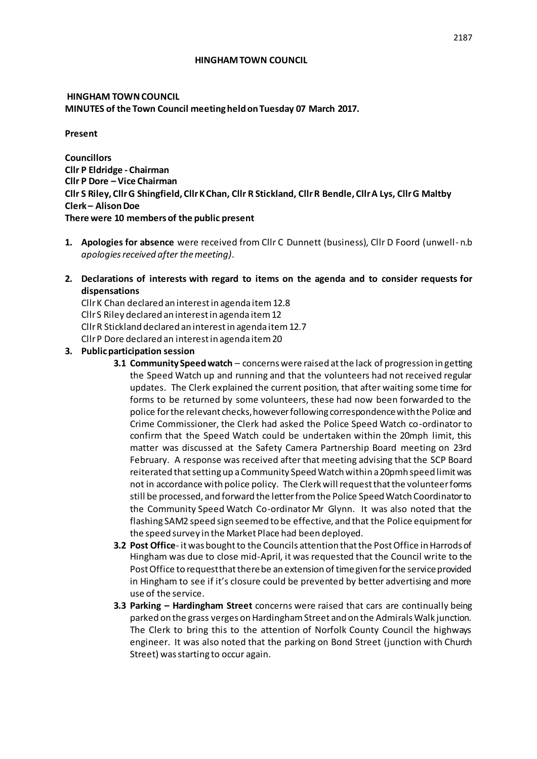#### **HINGHAM TOWN COUNCIL**

## **HINGHAM TOWN COUNCIL MINUTES of the Town Council meeting held on Tuesday 07 March 2017.**

**Present**

**Councillors Cllr P Eldridge - Chairman Cllr P Dore – Vice Chairman Cllr S Riley, Cllr G Shingfield, Cllr K Chan, Cllr R Stickland, Cllr R Bendle, Cllr A Lys, Cllr G Maltby Clerk – Alison Doe There were 10 members of the public present**

- **1. Apologies for absence** were received from Cllr C Dunnett (business), Cllr D Foord (unwell- n.b *apologies received after the meeting).*
- **2. Declarations of interests with regard to items on the agenda and to consider requests for dispensations**

Cllr K Chan declared an interest in agenda item 12.8 Cllr S Riley declared an interest in agenda item 12 Cllr R Stickland declared an interest in agenda item 12.7 Cllr P Dore declared an interest in agenda item 20

- **3. Public participation session** 
	- **3.1 Community Speed watch**  concerns were raised at the lack of progression in getting the Speed Watch up and running and that the volunteers had not received regular updates. The Clerk explained the current position, that after waiting some time for forms to be returned by some volunteers, these had now been forwarded to the police for the relevant checks, however following correspondence with the Police and Crime Commissioner, the Clerk had asked the Police Speed Watch co-ordinator to confirm that the Speed Watch could be undertaken within the 20mph limit, this matter was discussed at the Safety Camera Partnership Board meeting on 23rd February. A response was received after that meeting advising that the SCP Board reiterated that setting up a Community Speed Watch within a 20pmh speed limit was not in accordance with police policy. The Clerk will request that the volunteer forms still be processed, and forward the letter from the Police Speed Watch Coordinator to the Community Speed Watch Co-ordinator Mr Glynn. It was also noted that the flashing SAM2 speed sign seemed to be effective, and that the Police equipment for the speed survey in the Market Place had been deployed.
	- **3.2 Post Office** it was bought to the Councils attention that the Post Office in Harrods of Hingham was due to close mid-April, it was requested that the Council write to the Post Office to request that there be an extension of time given for the service provided in Hingham to see if it's closure could be prevented by better advertising and more use of the service.
	- **3.3 Parking – Hardingham Street** concerns were raised that cars are continually being parked on the grass verges on Hardingham Street and on the Admirals Walk junction. The Clerk to bring this to the attention of Norfolk County Council the highways engineer. It was also noted that the parking on Bond Street (junction with Church Street) was starting to occur again.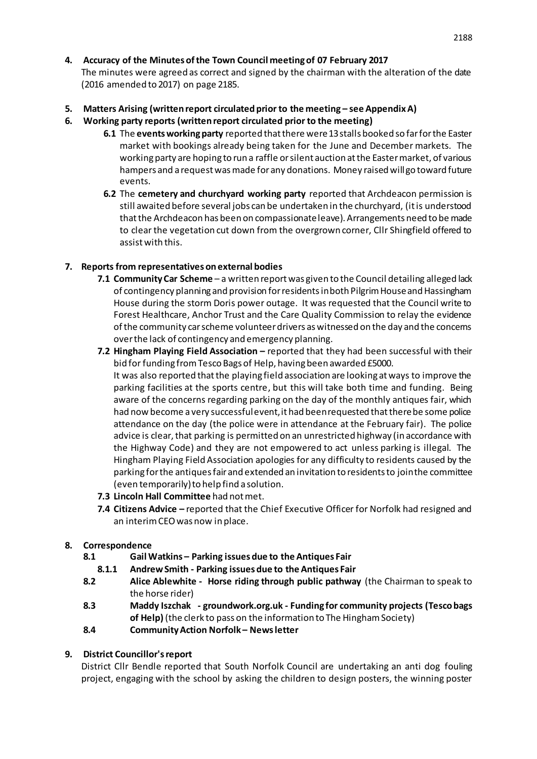## **4. Accuracy of the Minutes of the Town Council meeting of 07 February 2017**

The minutes were agreed as correct and signed by the chairman with the alteration of the date (2016 amended to 2017) on page 2185.

- **5. Matters Arising (written report circulated prior to the meeting – see Appendix A)**
- **6. Working party reports (written report circulated prior to the meeting)**
	- **6.1** The **events working party** reported that there were 13 stalls booked so far for the Easter market with bookings already being taken for the June and December markets. The working party are hoping to run a raffle or silent auction at the Easter market, of various hampers and a request was made for any donations. Money raised will go toward future events.
	- **6.2** The **cemetery and churchyard working party** reported that Archdeacon permission is still awaited before several jobs can be undertaken in the churchyard, (it is understood that the Archdeacon has been on compassionate leave). Arrangements need to be made to clear the vegetation cut down from the overgrown corner, Cllr Shingfield offered to assist with this.

## **7. Reports from representatives on external bodies**

- **7.1 Community Car Scheme**  a written report was given to the Council detailing alleged lack of contingency planning and provision for residents in both Pilgrim House and Hassingham House during the storm Doris power outage. It was requested that the Council write to Forest Healthcare, Anchor Trust and the Care Quality Commission to relay the evidence of the community car scheme volunteer drivers as witnessed on the day and the concerns over the lack of contingency and emergency planning.
- **7.2 Hingham Playing Field Association –** reported that they had been successful with their bid for funding from Tesco Bags of Help, having been awarded £5000. It was also reported that the playing field association are looking at ways to improve the parking facilities at the sports centre, but this will take both time and funding. Being aware of the concerns regarding parking on the day of the monthly antiques fair, which had now become a very successful event, it had been requested that there be some police attendance on the day (the police were in attendance at the February fair). The police advice is clear, that parking is permitted on an unrestricted highway (in accordance with the Highway Code) and they are not empowered to act unless parking is illegal. The Hingham Playing Field Association apologies for any difficulty to residents caused by the parking for the antiques fair and extended an invitation to residents to join the committee (even temporarily) to help find a solution.
- **7.3 Lincoln Hall Committee** had not met.
- **7.4 Citizens Advice –** reported that the Chief Executive Officer for Norfolk had resigned and an interim CEO was now in place.

## **8. Correspondence**

- **8.1 Gail Watkins – Parking issues due to the Antiques Fair**
	- **8.1.1 Andrew Smith - Parking issues due to the Antiques Fair**
- **8.2 Alice Ablewhite Horse riding through public pathway** (the Chairman to speak to the horse rider)
- **8.3 Maddy Iszchak - groundwork.org.uk - Funding for community projects (Tesco bags of Help)** (the clerk to pass on the information to The Hingham Society)
- **8.4 Community Action Norfolk – News letter**

## **9. District Councillor's report**

District Cllr Bendle reported that South Norfolk Council are undertaking an anti dog fouling project, engaging with the school by asking the children to design posters, the winning poster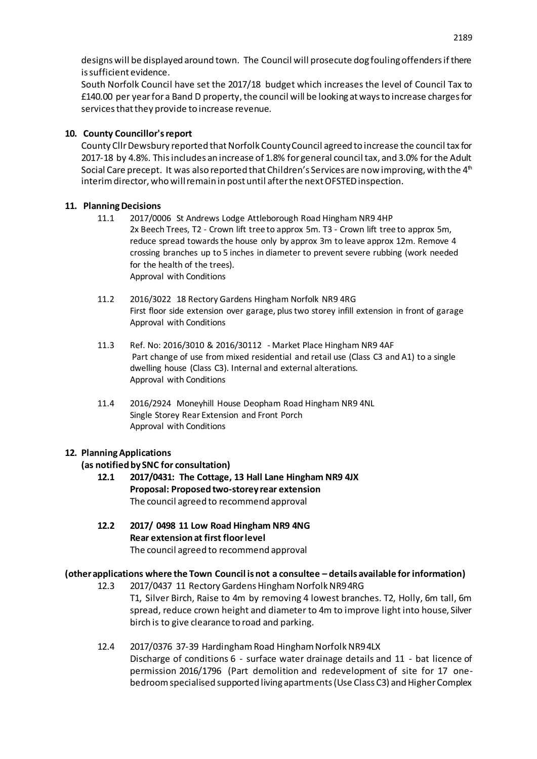designs will be displayed around town. The Council will prosecute dog fouling offenders if there is sufficient evidence.

South Norfolk Council have set the 2017/18 budget which increases the level of Council Tax to £140.00 per year for a Band D property, the council will be looking at ways to increase charges for services that they provide to increase revenue.

## **10. County Councillor's report**

County Cllr Dewsbury reported that Norfolk County Council agreed to increase the council tax for 2017-18 by 4.8%. This includes an increase of 1.8% for general council tax, and 3.0% for the Adult Social Care precept. It was also reported that Children's Services are now improving, with the  $4<sup>th</sup>$ interim director, who will remain in post until after the next OFSTED inspection.

## **11. Planning Decisions**

- 11.1 2017/0006 St Andrews Lodge Attleborough Road Hingham NR9 4HP 2x Beech Trees, T2 - Crown lift tree to approx 5m. T3 - Crown lift tree to approx 5m, reduce spread towards the house only by approx 3m to leave approx 12m. Remove 4 crossing branches up to 5 inches in diameter to prevent severe rubbing (work needed for the health of the trees). Approval with Conditions
- 11.2 2016/3022 18 Rectory Gardens Hingham Norfolk NR9 4RG First floor side extension over garage, plus two storey infill extension in front of garage Approval with Conditions
- 11.3 Ref. No: 2016/3010 & 2016/30112 Market Place Hingham NR9 4AF Part change of use from mixed residential and retail use (Class C3 and A1) to a single dwelling house (Class C3). Internal and external alterations. Approval with Conditions
- 11.4 2016/2924 Moneyhill House Deopham Road Hingham NR9 4NL Single Storey Rear Extension and Front Porch Approval with Conditions

# **12. Planning Applications**

## **(as notified by SNC for consultation)**

- **12.1 2017/0431: The Cottage, 13 Hall Lane Hingham NR9 4JX Proposal: Proposed two-storey rear extension** The council agreed to recommend approval
- **12.2 2017/ 0498 11 Low Road Hingham NR9 4NG Rear extension at first floor level** The council agreed to recommend approval

## **(other applications where the Town Council is not a consultee – details available for information)**

- 12.3 2017/0437 11 Rectory Gardens Hingham Norfolk NR9 4RG
	- T1, Silver Birch, Raise to 4m by removing 4 lowest branches. T2, Holly, 6m tall, 6m spread, reduce crown height and diameter to 4m to improve light into house, Silver birch is to give clearance to road and parking.
- 12.4 2017/0376 37-39 Hardingham Road Hingham Norfolk NR9 4LX Discharge of conditions 6 - surface water drainage details and 11 - bat licence of permission 2016/1796 (Part demolition and redevelopment of site for 17 onebedroom specialised supported living apartments (Use Class C3) and Higher Complex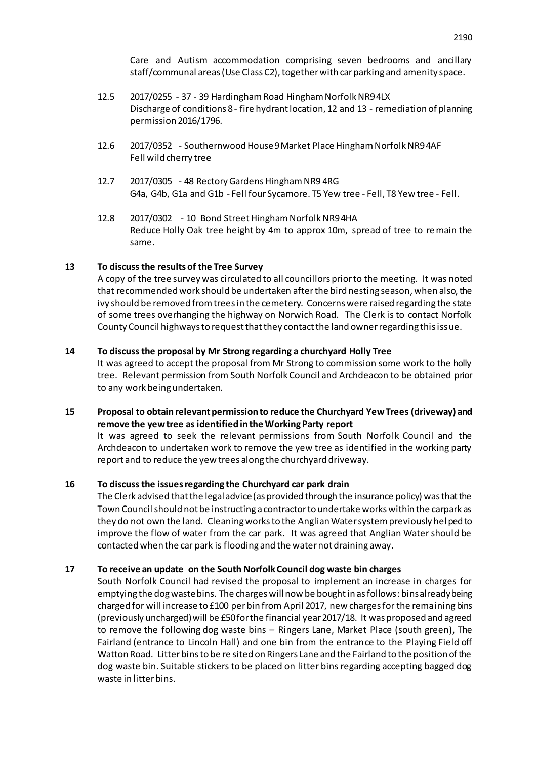Care and Autism accommodation comprising seven bedrooms and ancillary staff/communal areas (Use Class C2), together with car parking and amenity space.

- 12.5 2017/0255 37 39 HardinghamRoad Hingham Norfolk NR9 4LX Discharge of conditions 8 - fire hydrant location, 12 and 13 - remediation of planning permission 2016/1796.
- 12.6 2017/0352 Southernwood House 9 Market Place Hingham Norfolk NR9 4AF Fell wild cherry tree
- 12.7 2017/0305 48 Rectory Gardens Hingham NR9 4RG G4a, G4b, G1a and G1b - Fell four Sycamore. T5 Yew tree - Fell, T8 Yew tree - Fell.
- 12.8 2017/0302 10 Bond Street Hingham Norfolk NR9 4HA Reduce Holly Oak tree height by 4m to approx 10m, spread of tree to remain the same.

#### **13 To discuss the results of the Tree Survey**

A copy of the tree survey was circulated to all councillors prior to the meeting. It was noted that recommended work should be undertaken after the bird nesting season, when also, the ivy should be removed from trees in the cemetery. Concerns were raised regarding the state of some trees overhanging the highway on Norwich Road. The Clerk is to contact Norfolk County Council highways to request that they contact the land owner regarding this issue.

#### **14 To discuss the proposal by Mr Strong regarding a churchyard Holly Tree**

It was agreed to accept the proposal from Mr Strong to commission some work to the holly tree. Relevant permission from South Norfolk Council and Archdeacon to be obtained prior to any work being undertaken.

#### **15 Proposal to obtain relevant permission to reduce the Churchyard Yew Trees (driveway) and remove the yew tree as identified in the Working Party report**

It was agreed to seek the relevant permissions from South Norfolk Council and the Archdeacon to undertaken work to remove the yew tree as identified in the working party report and to reduce the yew trees along the churchyard driveway.

#### **16 To discuss the issues regarding the Churchyard car park drain**

The Clerk advised that the legal advice (as provided through the insurance policy) was that the Town Council should not be instructing a contractor to undertake works within the carpark as they do not own the land. Cleaning works to the Anglian Water system previously hel ped to improve the flow of water from the car park. It was agreed that Anglian Water should be contacted when the car park is flooding and the water not draining away.

#### **17 To receive an update on the South Norfolk Council dog waste bin charges**

South Norfolk Council had revised the proposal to implement an increase in charges for emptying the dog waste bins. The charges will now be bought in as follows: bins already being charged for will increase to £100 per bin from April 2017, new charges for the remaining bins (previously uncharged) will be £50 for the financial year 2017/18. It was proposed and agreed to remove the following dog waste bins – Ringers Lane, Market Place (south green), The Fairland (entrance to Lincoln Hall) and one bin from the entrance to the Playing Field off Watton Road. Litter bins to be re sited on Ringers Lane and the Fairland to the position of the dog waste bin. Suitable stickers to be placed on litter bins regarding accepting bagged dog waste in litter bins.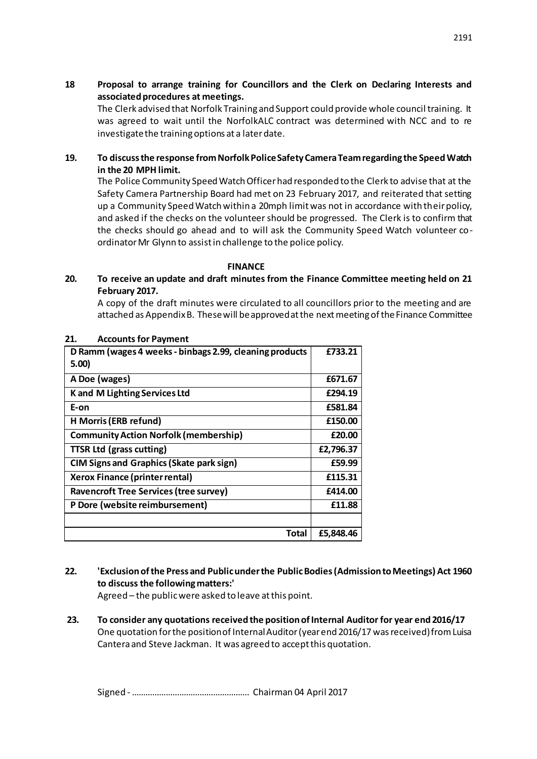**18 Proposal to arrange training for Councillors and the Clerk on Declaring Interests and associated procedures at meetings.**

The Clerk advised that Norfolk Training and Support could provide whole council training. It was agreed to wait until the NorfolkALC contract was determined with NCC and to re investigate the training options at a later date.

## **19. To discuss the response from Norfolk Police Safety Camera Team regarding the Speed Watch in the 20 MPH limit.**

The Police Community Speed Watch Officer had responded to the Clerk to advise that at the Safety Camera Partnership Board had met on 23 February 2017, and reiterated that setting up a Community Speed Watch within a 20mph limit was not in accordance with their policy, and asked if the checks on the volunteer should be progressed. The Clerk is to confirm that the checks should go ahead and to will ask the Community Speed Watch volunteer coordinator Mr Glynn to assist in challenge to the police policy.

#### **FINANCE**

## **20. To receive an update and draft minutes from the Finance Committee meeting held on 21 February 2017.**

A copy of the draft minutes were circulated to all councillors prior to the meeting and are attached as Appendix B. These will be approved at the next meeting of the Finance Committee

| D Ramm (wages 4 weeks - binbags 2.99, cleaning products<br>5.00) | £733.21   |
|------------------------------------------------------------------|-----------|
| A Doe (wages)                                                    | £671.67   |
| K and M Lighting Services Ltd                                    | £294.19   |
| E-on                                                             | £581.84   |
| H Morris (ERB refund)                                            | £150.00   |
| <b>Community Action Norfolk (membership)</b>                     | £20.00    |
| <b>TTSR Ltd (grass cutting)</b>                                  | £2,796.37 |
| <b>CIM Signs and Graphics (Skate park sign)</b>                  | £59.99    |
| <b>Xerox Finance (printer rental)</b>                            | £115.31   |
| <b>Ravencroft Tree Services (tree survey)</b>                    | £414.00   |
| P Dore (website reimbursement)                                   | £11.88    |
|                                                                  |           |
| Total                                                            | £5.848.46 |

#### **21. Accounts for Payment**

- **22. 'Exclusion of the Press and Public under the Public Bodies (Admission to Meetings) Act 1960 to discuss the following matters:'**  Agreed – the public were asked to leave at this point.
- **23. To consider any quotations received the position of Internal Auditor for year end 2016/17** One quotation for the position of Internal Auditor (year end 2016/17 was received) from Luisa Cantera and Steve Jackman. It was agreed to accept this quotation.

Signed -……………………………………………. Chairman 04 April 2017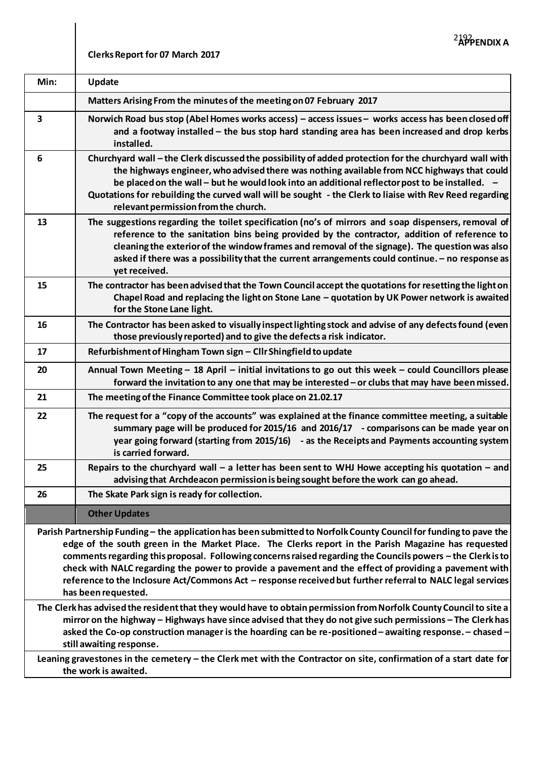# **Clerks Report for 07 March 2017**

| Min:                                                                                                                                                                                                                                                                                                                                                                                                                                                                                                                                                                                                                                                                                                                                                                                                                                                                                                                                                               | <b>Update</b>                                                                                                                                                                                                                                                                                                                                                                                                                                             |  |
|--------------------------------------------------------------------------------------------------------------------------------------------------------------------------------------------------------------------------------------------------------------------------------------------------------------------------------------------------------------------------------------------------------------------------------------------------------------------------------------------------------------------------------------------------------------------------------------------------------------------------------------------------------------------------------------------------------------------------------------------------------------------------------------------------------------------------------------------------------------------------------------------------------------------------------------------------------------------|-----------------------------------------------------------------------------------------------------------------------------------------------------------------------------------------------------------------------------------------------------------------------------------------------------------------------------------------------------------------------------------------------------------------------------------------------------------|--|
|                                                                                                                                                                                                                                                                                                                                                                                                                                                                                                                                                                                                                                                                                                                                                                                                                                                                                                                                                                    | Matters Arising From the minutes of the meeting on 07 February 2017                                                                                                                                                                                                                                                                                                                                                                                       |  |
| 3                                                                                                                                                                                                                                                                                                                                                                                                                                                                                                                                                                                                                                                                                                                                                                                                                                                                                                                                                                  | Norwich Road bus stop (Abel Homes works access) - access issues - works access has been closed off<br>and a footway installed - the bus stop hard standing area has been increased and drop kerbs<br>installed.                                                                                                                                                                                                                                           |  |
| 6                                                                                                                                                                                                                                                                                                                                                                                                                                                                                                                                                                                                                                                                                                                                                                                                                                                                                                                                                                  | Churchyard wall - the Clerk discussed the possibility of added protection for the churchyard wall with<br>the highways engineer, who advised there was nothing available from NCC highways that could<br>be placed on the wall - but he would look into an additional reflector post to be installed. -<br>Quotations for rebuilding the curved wall will be sought - the Clerk to liaise with Rev Reed regarding<br>relevant permission from the church. |  |
| 13                                                                                                                                                                                                                                                                                                                                                                                                                                                                                                                                                                                                                                                                                                                                                                                                                                                                                                                                                                 | The suggestions regarding the toilet specification (no's of mirrors and soap dispensers, removal of<br>reference to the sanitation bins being provided by the contractor, addition of reference to<br>cleaning the exterior of the window frames and removal of the signage). The question was also<br>asked if there was a possibility that the current arrangements could continue. - no response as<br>yet received.                                   |  |
| 15                                                                                                                                                                                                                                                                                                                                                                                                                                                                                                                                                                                                                                                                                                                                                                                                                                                                                                                                                                 | The contractor has been advised that the Town Council accept the quotations for resetting the light on<br>Chapel Road and replacing the light on Stone Lane - quotation by UK Power network is awaited<br>for the Stone Lane light.                                                                                                                                                                                                                       |  |
| 16                                                                                                                                                                                                                                                                                                                                                                                                                                                                                                                                                                                                                                                                                                                                                                                                                                                                                                                                                                 | The Contractor has been asked to visually inspect lighting stock and advise of any defects found (even<br>those previously reported) and to give the defects a risk indicator.                                                                                                                                                                                                                                                                            |  |
| 17                                                                                                                                                                                                                                                                                                                                                                                                                                                                                                                                                                                                                                                                                                                                                                                                                                                                                                                                                                 | Refurbishment of Hingham Town sign - Cllr Shingfield to update                                                                                                                                                                                                                                                                                                                                                                                            |  |
| 20                                                                                                                                                                                                                                                                                                                                                                                                                                                                                                                                                                                                                                                                                                                                                                                                                                                                                                                                                                 | Annual Town Meeting - 18 April - initial invitations to go out this week - could Councillors please<br>forward the invitation to any one that may be interested - or clubs that may have been missed.                                                                                                                                                                                                                                                     |  |
| 21                                                                                                                                                                                                                                                                                                                                                                                                                                                                                                                                                                                                                                                                                                                                                                                                                                                                                                                                                                 | The meeting of the Finance Committee took place on 21.02.17                                                                                                                                                                                                                                                                                                                                                                                               |  |
| 22                                                                                                                                                                                                                                                                                                                                                                                                                                                                                                                                                                                                                                                                                                                                                                                                                                                                                                                                                                 | The request for a "copy of the accounts" was explained at the finance committee meeting, a suitable<br>summary page will be produced for 2015/16 and 2016/17 - comparisons can be made year on<br>year going forward (starting from 2015/16) - as the Receipts and Payments accounting system<br>is carried forward.                                                                                                                                      |  |
| 25                                                                                                                                                                                                                                                                                                                                                                                                                                                                                                                                                                                                                                                                                                                                                                                                                                                                                                                                                                 | Repairs to the churchyard wall $-$ a letter has been sent to WHJ Howe accepting his quotation $-$ and<br>advising that Archdeacon permission is being sought before the work can go ahead.                                                                                                                                                                                                                                                                |  |
| 26                                                                                                                                                                                                                                                                                                                                                                                                                                                                                                                                                                                                                                                                                                                                                                                                                                                                                                                                                                 | The Skate Park sign is ready for collection.                                                                                                                                                                                                                                                                                                                                                                                                              |  |
|                                                                                                                                                                                                                                                                                                                                                                                                                                                                                                                                                                                                                                                                                                                                                                                                                                                                                                                                                                    | <b>Other Updates</b>                                                                                                                                                                                                                                                                                                                                                                                                                                      |  |
| Parish Partnership Funding – the application has been submitted to Norfolk County Council for funding to pave the<br>edge of the south green in the Market Place. The Clerks report in the Parish Magazine has requested<br>comments regarding this proposal. Following concerns raised regarding the Councils powers - the Clerk is to<br>check with NALC regarding the power to provide a pavement and the effect of providing a pavement with<br>reference to the Inclosure Act/Commons Act - response received but further referral to NALC legal services<br>has been requested.<br>The Clerk has advised the resident that they would have to obtain permission from Norfolk County Council to site a<br>mirror on the highway - Highways have since advised that they do not give such permissions - The Clerk has<br>asked the Co-op construction manager is the hoarding can be re-positioned - awaiting response. - chased -<br>still awaiting response. |                                                                                                                                                                                                                                                                                                                                                                                                                                                           |  |
| Leaning gravestones in the cemetery – the Clerk met with the Contractor on site, confirmation of a start date for<br>the work is awaited.                                                                                                                                                                                                                                                                                                                                                                                                                                                                                                                                                                                                                                                                                                                                                                                                                          |                                                                                                                                                                                                                                                                                                                                                                                                                                                           |  |
|                                                                                                                                                                                                                                                                                                                                                                                                                                                                                                                                                                                                                                                                                                                                                                                                                                                                                                                                                                    |                                                                                                                                                                                                                                                                                                                                                                                                                                                           |  |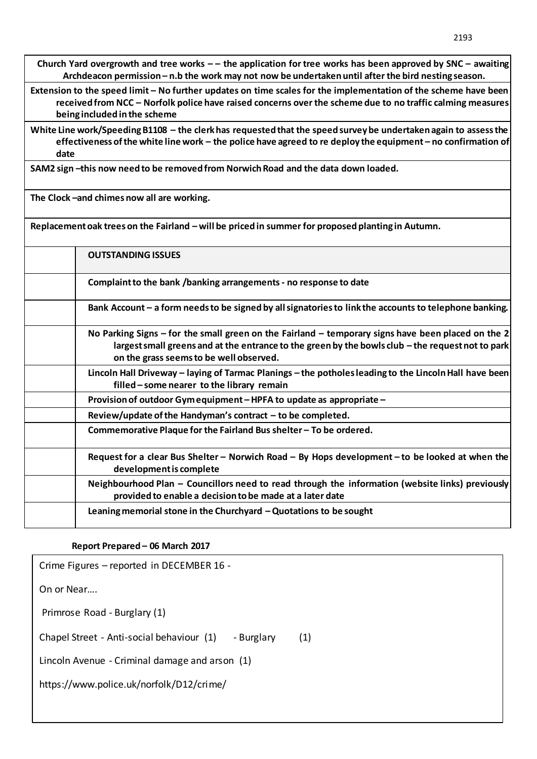**Church Yard overgrowth and tree works – – the application for tree works has been approved by SNC – awaiting Archdeacon permission – n.b the work may not now be undertaken until after the bird nesting season.**

**Extension to the speed limit – No further updates on time scales for the implementation of the scheme have been received from NCC – Norfolk police have raised concerns over the scheme due to no traffic calming measures being included in the scheme**

**White Line work/Speeding B1108 – the clerk has requested that the speed survey be undertaken again to assess the effectiveness of the white line work – the police have agreed to re deploy the equipment – no confirmation of date** 

**SAM2 sign –this now need to be removed from Norwich Road and the data down loaded.** 

**The Clock –and chimes now all are working.**

**Replacement oak trees on the Fairland – will be priced in summer for proposed planting in Autumn.**

| <b>OUTSTANDING ISSUES</b>                                                                                                                                                                                                                          |
|----------------------------------------------------------------------------------------------------------------------------------------------------------------------------------------------------------------------------------------------------|
| Complaint to the bank /banking arrangements - no response to date                                                                                                                                                                                  |
| Bank Account – a form needs to be signed by all signatories to link the accounts to telephone banking.                                                                                                                                             |
| No Parking Signs – for the small green on the Fairland – temporary signs have been placed on the 2<br>largest small greens and at the entrance to the green by the bowls club - the request not to park<br>on the grass seems to be well observed. |
| Lincoln Hall Driveway – laying of Tarmac Planings – the potholes leading to the Lincoln Hall have been<br>filled – some nearer to the library remain                                                                                               |
| Provision of outdoor Gym equipment – HPFA to update as appropriate –                                                                                                                                                                               |
| Review/update of the Handyman's contract $-$ to be completed.                                                                                                                                                                                      |
| Commemorative Plaque for the Fairland Bus shelter - To be ordered.                                                                                                                                                                                 |
| Request for a clear Bus Shelter - Norwich Road - By Hops development - to be looked at when the<br>development is complete                                                                                                                         |
| Neighbourhood Plan - Councillors need to read through the information (website links) previously<br>provided to enable a decision to be made at a later date                                                                                       |
| Leaning memorial stone in the Churchyard $-Q$ uotations to be sought                                                                                                                                                                               |

## **Report Prepared – 06 March 2017**

| Crime Figures - reported in DECEMBER 16 -               |     |  |  |  |
|---------------------------------------------------------|-----|--|--|--|
| On or Near                                              |     |  |  |  |
| Primrose Road - Burglary (1)                            |     |  |  |  |
| Chapel Street - Anti-social behaviour (1)<br>- Burglary | (1) |  |  |  |
| Lincoln Avenue - Criminal damage and arson (1)          |     |  |  |  |
| https://www.police.uk/norfolk/D12/crime/                |     |  |  |  |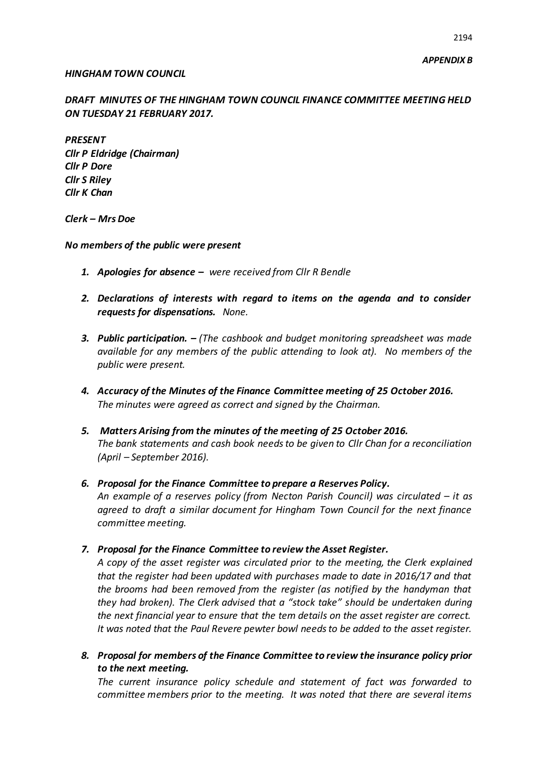#### *HINGHAM TOWN COUNCIL*

*DRAFT MINUTES OF THE HINGHAM TOWN COUNCIL FINANCE COMMITTEE MEETING HELD ON TUESDAY 21 FEBRUARY 2017.* 

*PRESENT Cllr P Eldridge (Chairman) Cllr P Dore Cllr S Riley Cllr K Chan*

*Clerk – Mrs Doe*

*No members of the public were present*

- *1. Apologies for absence – were received from Cllr R Bendle*
- *2. Declarations of interests with regard to items on the agenda and to consider requests for dispensations. None.*
- *3. Public participation. – (The cashbook and budget monitoring spreadsheet was made available for any members of the public attending to look at). No members of the public were present.*
- *4. Accuracy of the Minutes of the Finance Committee meeting of 25 October 2016. The minutes were agreed as correct and signed by the Chairman.*
- *5. Matters Arising from the minutes of the meeting of 25 October 2016. The bank statements and cash book needs to be given to Cllr Chan for a reconciliation (April – September 2016).*
- *6. Proposal for the Finance Committee to prepare a Reserves Policy. An example of a reserves policy (from Necton Parish Council) was circulated – it as agreed to draft a similar document for Hingham Town Council for the next finance committee meeting.*
- *7. Proposal for the Finance Committee to review the Asset Register.*

*A copy of the asset register was circulated prior to the meeting, the Clerk explained that the register had been updated with purchases made to date in 2016/17 and that the brooms had been removed from the register (as notified by the handyman that they had broken). The Clerk advised that a "stock take" should be undertaken during the next financial year to ensure that the tem details on the asset register are correct. It was noted that the Paul Revere pewter bowl needs to be added to the asset register.*

*8. Proposal for members of the Finance Committee to review the insurance policy prior to the next meeting.*

*The current insurance policy schedule and statement of fact was forwarded to committee members prior to the meeting. It was noted that there are several items*